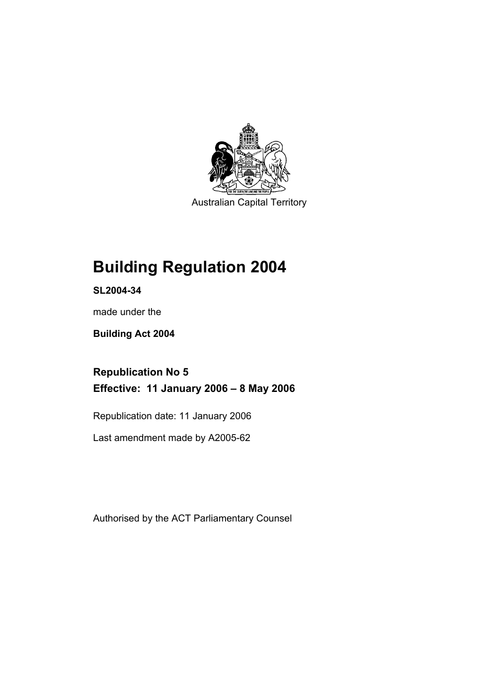

Australian Capital Territory

# **Building Regulation 2004**

**SL2004-34** 

made under the

**Building Act 2004** 

**Republication No 5 Effective: 11 January 2006 – 8 May 2006** 

Republication date: 11 January 2006

Last amendment made by A2005-62

Authorised by the ACT Parliamentary Counsel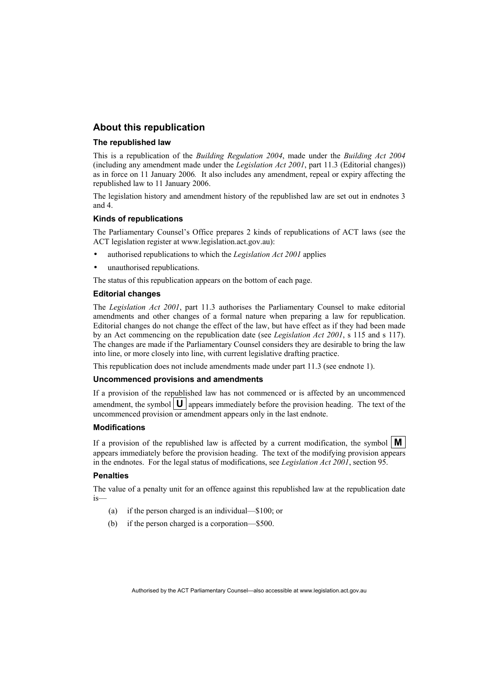## **About this republication**

#### **The republished law**

This is a republication of the *Building Regulation 2004*, made under the *Building Act 2004* (including any amendment made under the *Legislation Act 2001*, part 11.3 (Editorial changes)) as in force on 11 January 2006*.* It also includes any amendment, repeal or expiry affecting the republished law to 11 January 2006.

The legislation history and amendment history of the republished law are set out in endnotes 3 and 4.

### **Kinds of republications**

The Parliamentary Counsel's Office prepares 2 kinds of republications of ACT laws (see the ACT legislation register at www.legislation.act.gov.au):

- authorised republications to which the *Legislation Act 2001* applies
- unauthorised republications.

The status of this republication appears on the bottom of each page.

### **Editorial changes**

The *Legislation Act 2001*, part 11.3 authorises the Parliamentary Counsel to make editorial amendments and other changes of a formal nature when preparing a law for republication. Editorial changes do not change the effect of the law, but have effect as if they had been made by an Act commencing on the republication date (see *Legislation Act 2001*, s 115 and s 117). The changes are made if the Parliamentary Counsel considers they are desirable to bring the law into line, or more closely into line, with current legislative drafting practice.

This republication does not include amendments made under part 11.3 (see endnote 1).

#### **Uncommenced provisions and amendments**

If a provision of the republished law has not commenced or is affected by an uncommenced amendment, the symbol  $\mathbf{U}$  appears immediately before the provision heading. The text of the uncommenced provision or amendment appears only in the last endnote.

#### **Modifications**

If a provision of the republished law is affected by a current modification, the symbol  $\mathbf{M}$ appears immediately before the provision heading. The text of the modifying provision appears in the endnotes. For the legal status of modifications, see *Legislation Act 2001*, section 95.

#### **Penalties**

The value of a penalty unit for an offence against this republished law at the republication date is—

- (a) if the person charged is an individual—\$100; or
- (b) if the person charged is a corporation—\$500.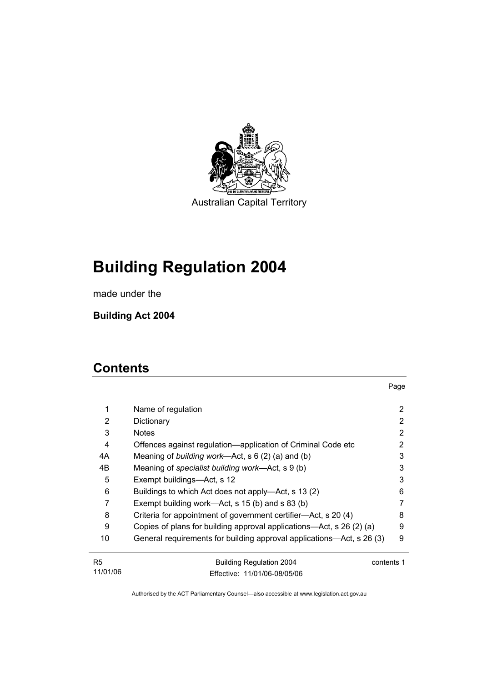

Australian Capital Territory

# **Building Regulation 2004**

made under the

**Building Act 2004** 

## **Contents**

| 1  | Name of regulation                                                    | 2          |
|----|-----------------------------------------------------------------------|------------|
| 2  | Dictionary                                                            | 2          |
| 3  | <b>Notes</b>                                                          | 2          |
| 4  | Offences against regulation—application of Criminal Code etc          | 2          |
| 4A | Meaning of building work—Act, $s \ 6 \ (2) \ (a)$ and (b)             | 3          |
| 4B | Meaning of specialist building work—Act, s 9 (b)                      | 3          |
| 5  | Exempt buildings—Act, s 12                                            | 3          |
| 6  | Buildings to which Act does not apply—Act, s 13 (2)                   | 6          |
| 7  | Exempt building work—Act, s 15 (b) and s 83 (b)                       |            |
| 8  | Criteria for appointment of government certifier-Act, s 20 (4)        | 8          |
| 9  | Copies of plans for building approval applications—Act, s 26 (2) (a)  | 9          |
| 10 | General requirements for building approval applications—Act, s 26 (3) | 9          |
| R5 | <b>Building Regulation 2004</b>                                       | contents 1 |

11/01/06 Building Regulation 2004 Effective: 11/01/06-08/05/06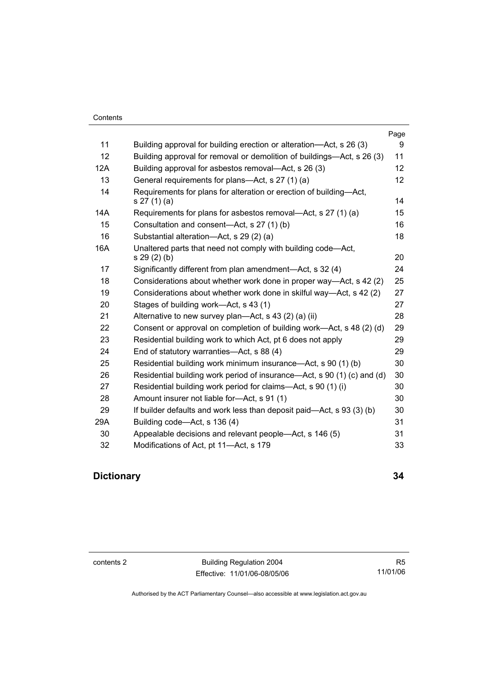|     |                                                                                    | Page              |
|-----|------------------------------------------------------------------------------------|-------------------|
| 11  | Building approval for building erection or alteration—Act, s 26 (3)                | 9                 |
| 12  | Building approval for removal or demolition of buildings—Act, s 26 (3)             | 11                |
| 12A | Building approval for asbestos removal—Act, s 26 (3)                               | $12 \overline{ }$ |
| 13  | General requirements for plans—Act, s 27 (1) (a)                                   | 12                |
| 14  | Requirements for plans for alteration or erection of building-Act,<br>s 27 (1) (a) | 14                |
| 14A | Requirements for plans for asbestos removal—Act, s 27 (1) (a)                      | 15                |
| 15  | Consultation and consent—Act, s 27 (1) (b)                                         | 16                |
| 16  | Substantial alteration-Act, s 29 (2) (a)                                           | 18                |
| 16A | Unaltered parts that need not comply with building code—Act,<br>s 29 (2) (b)       | 20                |
| 17  | Significantly different from plan amendment—Act, s 32 (4)                          | 24                |
| 18  | Considerations about whether work done in proper way-Act, s 42 (2)                 | 25                |
| 19  | Considerations about whether work done in skilful way—Act, s 42 (2)                | 27                |
| 20  | Stages of building work—Act, s 43 (1)                                              | 27                |
| 21  | Alternative to new survey plan—Act, s $43$ (2) (a) (ii)                            | 28                |
| 22  | Consent or approval on completion of building work—Act, s 48 (2) (d)               | 29                |
| 23  | Residential building work to which Act, pt 6 does not apply                        | 29                |
| 24  | End of statutory warranties-Act, s 88 (4)                                          | 29                |
| 25  | Residential building work minimum insurance—Act, s 90 (1) (b)                      | 30                |
| 26  | Residential building work period of insurance—Act, s 90 (1) (c) and (d)            | 30                |
| 27  | Residential building work period for claims—Act, s 90 (1) (i)                      | 30                |
| 28  | Amount insurer not liable for-Act, s 91 (1)                                        | 30                |
| 29  | If builder defaults and work less than deposit paid—Act, s 93 (3) (b)              | 30                |
| 29A | Building code—Act, s 136 (4)                                                       | 31                |
| 30  | Appealable decisions and relevant people—Act, s 146 (5)                            | 31                |
| 32  | Modifications of Act, pt 11-Act, s 179                                             | 33                |

## **Dictionary 34**

contents 2 Building Regulation 2004 Effective: 11/01/06-08/05/06

R5 11/01/06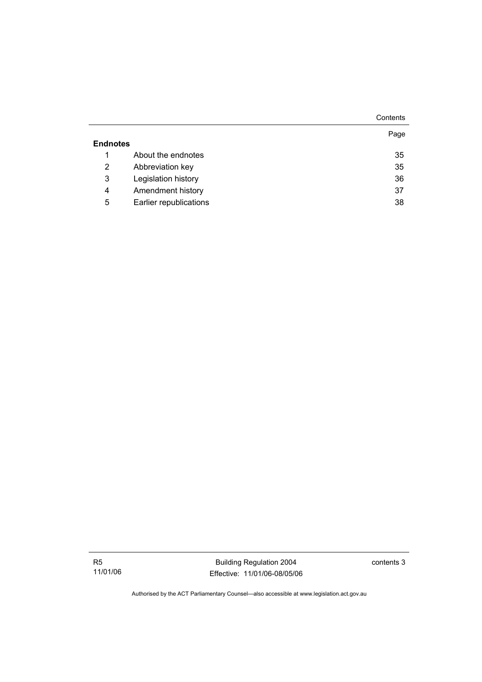|                 |                        | Contents |
|-----------------|------------------------|----------|
|                 |                        | Page     |
| <b>Endnotes</b> |                        |          |
| 1               | About the endnotes     | 35       |
| 2               | Abbreviation key       | 35       |
| 3               | Legislation history    | 36       |
| 4               | Amendment history      | 37       |
| 5               | Earlier republications | 38       |

R5 11/01/06

Building Regulation 2004 Effective: 11/01/06-08/05/06 contents 3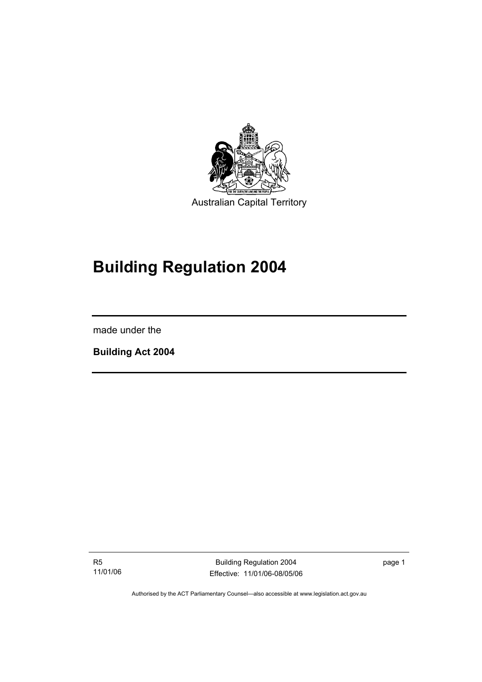

# **Building Regulation 2004**

made under the

I

**Building Act 2004** 

R5 11/01/06

Building Regulation 2004 Effective: 11/01/06-08/05/06 page 1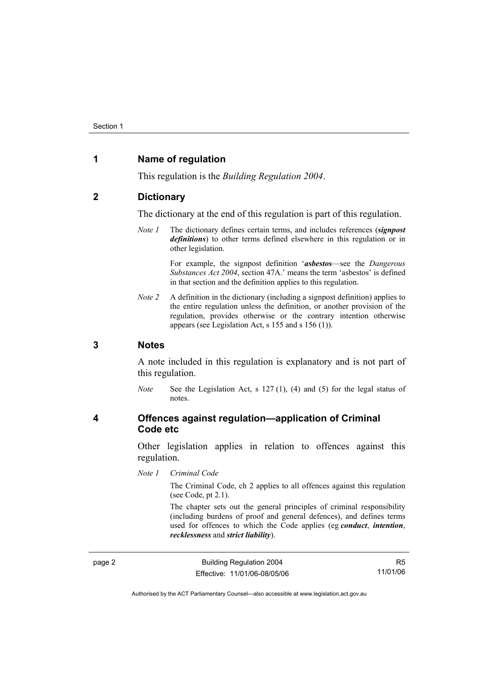## **1 Name of regulation**

This regulation is the *Building Regulation 2004*.

## **2 Dictionary**

The dictionary at the end of this regulation is part of this regulation.

*Note 1* The dictionary defines certain terms, and includes references (*signpost definitions*) to other terms defined elsewhere in this regulation or in other legislation.

> For example, the signpost definition '*asbestos*—see the *Dangerous Substances Act 2004*, section 47A.' means the term 'asbestos' is defined in that section and the definition applies to this regulation.

*Note 2* A definition in the dictionary (including a signpost definition) applies to the entire regulation unless the definition, or another provision of the regulation, provides otherwise or the contrary intention otherwise appears (see Legislation Act, s 155 and s 156 (1)).

## **3 Notes**

A note included in this regulation is explanatory and is not part of this regulation.

*Note* See the Legislation Act, s 127 (1), (4) and (5) for the legal status of notes.

## **4 Offences against regulation—application of Criminal Code etc**

Other legislation applies in relation to offences against this regulation.

*Note 1 Criminal Code*

The Criminal Code, ch 2 applies to all offences against this regulation (see Code, pt 2.1).

The chapter sets out the general principles of criminal responsibility (including burdens of proof and general defences), and defines terms used for offences to which the Code applies (eg *conduct*, *intention*, *recklessness* and *strict liability*).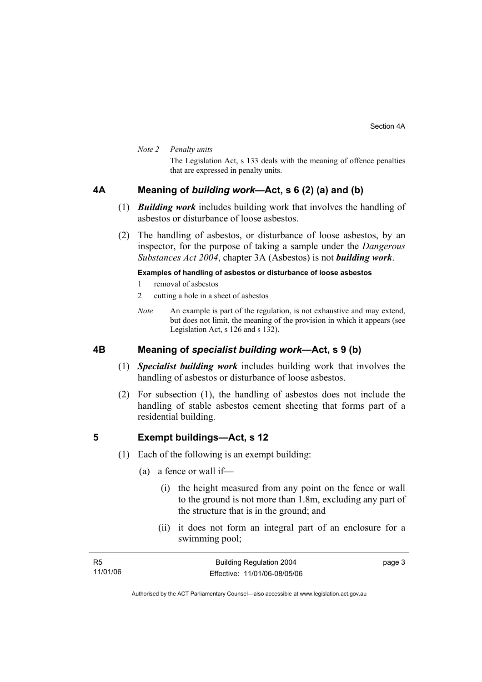#### *Note 2 Penalty units*

The Legislation Act, s 133 deals with the meaning of offence penalties that are expressed in penalty units.

## **4A Meaning of** *building work***—Act, s 6 (2) (a) and (b)**

- (1) *Building work* includes building work that involves the handling of asbestos or disturbance of loose asbestos.
- (2) The handling of asbestos, or disturbance of loose asbestos, by an inspector, for the purpose of taking a sample under the *Dangerous Substances Act 2004*, chapter 3A (Asbestos) is not *building work*.

### **Examples of handling of asbestos or disturbance of loose asbestos**

- 1 removal of asbestos
- 2 cutting a hole in a sheet of asbestos
- *Note* An example is part of the regulation, is not exhaustive and may extend, but does not limit, the meaning of the provision in which it appears (see Legislation Act, s 126 and s 132).

## **4B Meaning of** *specialist building work***—Act, s 9 (b)**

- (1) *Specialist building work* includes building work that involves the handling of asbestos or disturbance of loose asbestos.
- (2) For subsection (1), the handling of asbestos does not include the handling of stable asbestos cement sheeting that forms part of a residential building.

### **5 Exempt buildings—Act, s 12**

- (1) Each of the following is an exempt building:
	- (a) a fence or wall if—
		- (i) the height measured from any point on the fence or wall to the ground is not more than 1.8m, excluding any part of the structure that is in the ground; and
		- (ii) it does not form an integral part of an enclosure for a swimming pool;

| - R5     | <b>Building Regulation 2004</b> | page 3 |
|----------|---------------------------------|--------|
| 11/01/06 | Effective: 11/01/06-08/05/06    |        |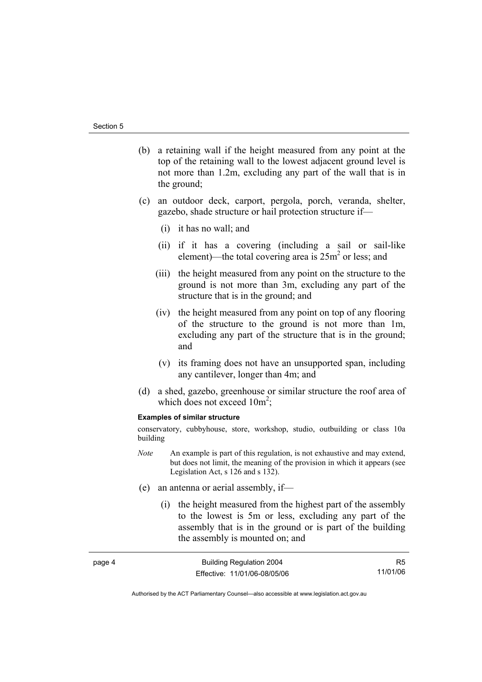page 4

- (b) a retaining wall if the height measured from any point at the top of the retaining wall to the lowest adjacent ground level is not more than 1.2m, excluding any part of the wall that is in the ground;
- (c) an outdoor deck, carport, pergola, porch, veranda, shelter, gazebo, shade structure or hail protection structure if—
	- (i) it has no wall; and
	- (ii) if it has a covering (including a sail or sail-like element)—the total covering area is  $25m^2$  or less; and
	- (iii) the height measured from any point on the structure to the ground is not more than 3m, excluding any part of the structure that is in the ground; and
	- (iv) the height measured from any point on top of any flooring of the structure to the ground is not more than 1m, excluding any part of the structure that is in the ground; and
	- (v) its framing does not have an unsupported span, including any cantilever, longer than 4m; and
- (d) a shed, gazebo, greenhouse or similar structure the roof area of which does not exceed  $10m^2$ ;

#### **Examples of similar structure**

conservatory, cubbyhouse, store, workshop, studio, outbuilding or class 10a building

- *Note* An example is part of this regulation, is not exhaustive and may extend, but does not limit, the meaning of the provision in which it appears (see Legislation Act, s 126 and s 132).
- (e) an antenna or aerial assembly, if—
	- (i) the height measured from the highest part of the assembly to the lowest is 5m or less, excluding any part of the assembly that is in the ground or is part of the building the assembly is mounted on; and

| Building Regulation 2004     | R5       |
|------------------------------|----------|
| Effective: 11/01/06-08/05/06 | 11/01/06 |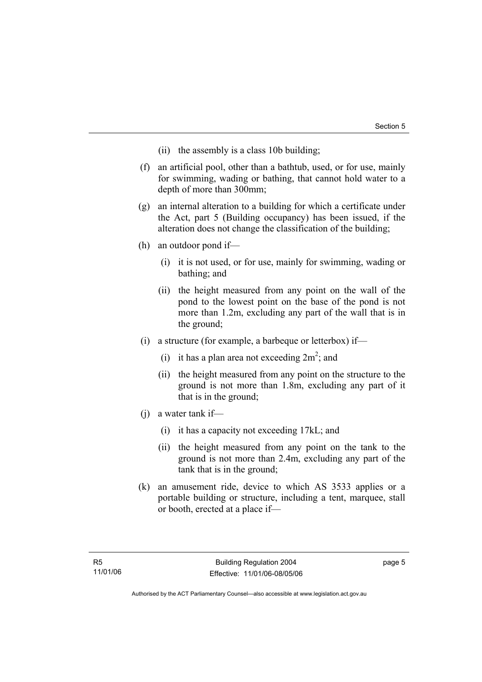- (ii) the assembly is a class 10b building;
- (f) an artificial pool, other than a bathtub, used, or for use, mainly for swimming, wading or bathing, that cannot hold water to a depth of more than 300mm;
- (g) an internal alteration to a building for which a certificate under the Act, part 5 (Building occupancy) has been issued, if the alteration does not change the classification of the building;
- (h) an outdoor pond if—
	- (i) it is not used, or for use, mainly for swimming, wading or bathing; and
	- (ii) the height measured from any point on the wall of the pond to the lowest point on the base of the pond is not more than 1.2m, excluding any part of the wall that is in the ground;
- (i) a structure (for example, a barbeque or letterbox) if—
- (i) it has a plan area not exceeding  $2m^2$ ; and
	- (ii) the height measured from any point on the structure to the ground is not more than 1.8m, excluding any part of it that is in the ground;
	- (j) a water tank if—
		- (i) it has a capacity not exceeding 17kL; and
		- (ii) the height measured from any point on the tank to the ground is not more than 2.4m, excluding any part of the tank that is in the ground;
	- (k) an amusement ride, device to which AS 3533 applies or a portable building or structure, including a tent, marquee, stall or booth, erected at a place if—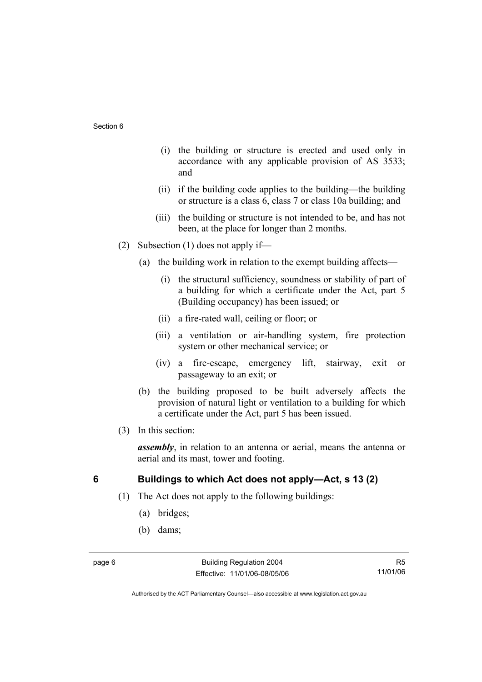- (i) the building or structure is erected and used only in accordance with any applicable provision of AS 3533; and
- (ii) if the building code applies to the building—the building or structure is a class 6, class 7 or class 10a building; and
- (iii) the building or structure is not intended to be, and has not been, at the place for longer than 2 months.
- (2) Subsection (1) does not apply if—
	- (a) the building work in relation to the exempt building affects—
		- (i) the structural sufficiency, soundness or stability of part of a building for which a certificate under the Act, part 5 (Building occupancy) has been issued; or
		- (ii) a fire-rated wall, ceiling or floor; or
		- (iii) a ventilation or air-handling system, fire protection system or other mechanical service; or
		- (iv) a fire-escape, emergency lift, stairway, exit or passageway to an exit; or
	- (b) the building proposed to be built adversely affects the provision of natural light or ventilation to a building for which a certificate under the Act, part 5 has been issued.
- (3) In this section:

*assembly*, in relation to an antenna or aerial, means the antenna or aerial and its mast, tower and footing.

## **6 Buildings to which Act does not apply—Act, s 13 (2)**

- (1) The Act does not apply to the following buildings:
	- (a) bridges;
	- (b) dams;

R5 11/01/06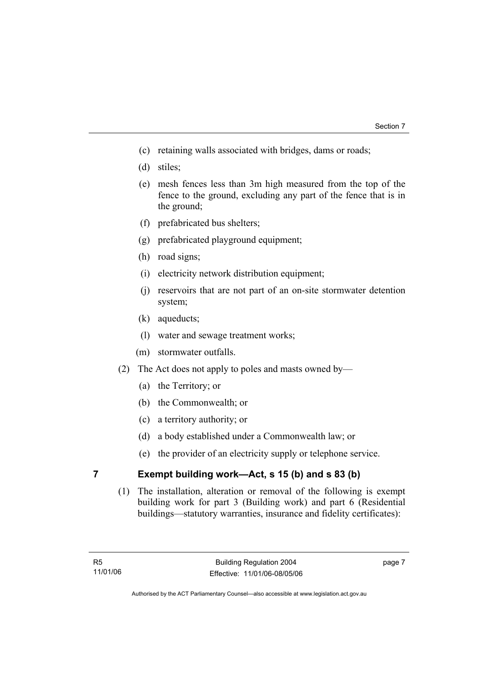- (c) retaining walls associated with bridges, dams or roads;
- (d) stiles;
- (e) mesh fences less than 3m high measured from the top of the fence to the ground, excluding any part of the fence that is in the ground;
- (f) prefabricated bus shelters;
- (g) prefabricated playground equipment;
- (h) road signs;
- (i) electricity network distribution equipment;
- (j) reservoirs that are not part of an on-site stormwater detention system;
- (k) aqueducts;
- (l) water and sewage treatment works;
- (m) stormwater outfalls.
- (2) The Act does not apply to poles and masts owned by—
	- (a) the Territory; or
	- (b) the Commonwealth; or
	- (c) a territory authority; or
	- (d) a body established under a Commonwealth law; or
	- (e) the provider of an electricity supply or telephone service.

## **7 Exempt building work—Act, s 15 (b) and s 83 (b)**

 (1) The installation, alteration or removal of the following is exempt building work for part 3 (Building work) and part 6 (Residential buildings—statutory warranties, insurance and fidelity certificates):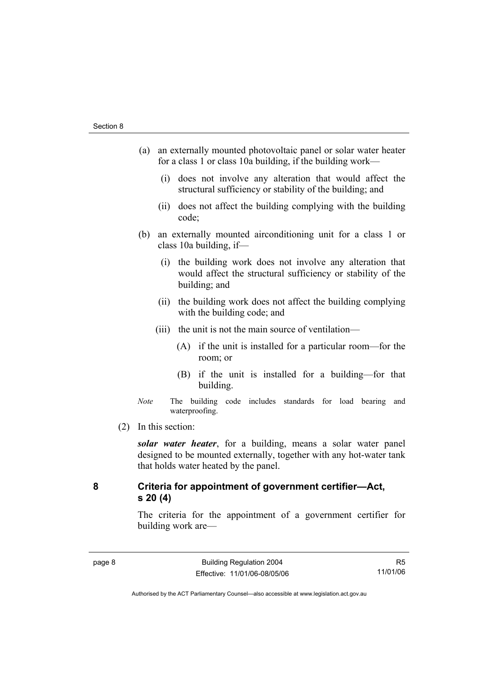- (a) an externally mounted photovoltaic panel or solar water heater for a class 1 or class 10a building, if the building work—
	- (i) does not involve any alteration that would affect the structural sufficiency or stability of the building; and
	- (ii) does not affect the building complying with the building code;
- (b) an externally mounted airconditioning unit for a class 1 or class 10a building, if—
	- (i) the building work does not involve any alteration that would affect the structural sufficiency or stability of the building; and
	- (ii) the building work does not affect the building complying with the building code; and
	- (iii) the unit is not the main source of ventilation—
		- (A) if the unit is installed for a particular room—for the room; or
		- (B) if the unit is installed for a building—for that building.
- *Note* The building code includes standards for load bearing and waterproofing.
- (2) In this section:

*solar water heater*, for a building, means a solar water panel designed to be mounted externally, together with any hot-water tank that holds water heated by the panel.

## **8 Criteria for appointment of government certifier—Act, s 20 (4)**

The criteria for the appointment of a government certifier for building work are—

R5 11/01/06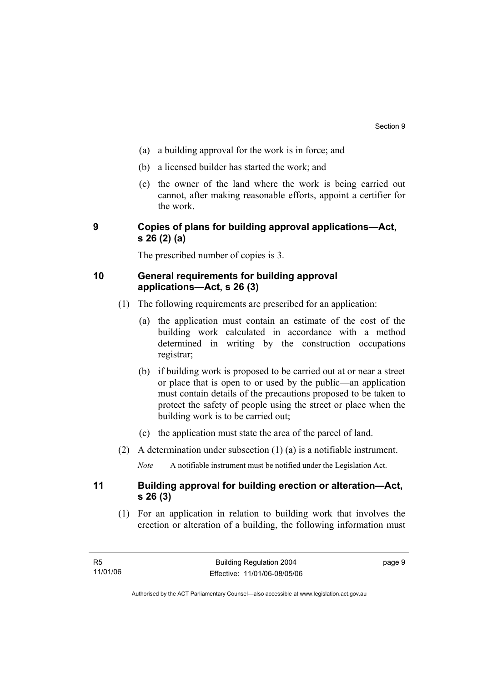- (a) a building approval for the work is in force; and
- (b) a licensed builder has started the work; and
- (c) the owner of the land where the work is being carried out cannot, after making reasonable efforts, appoint a certifier for the work.

## **9 Copies of plans for building approval applications—Act, s 26 (2) (a)**

The prescribed number of copies is 3.

## **10 General requirements for building approval applications—Act, s 26 (3)**

- (1) The following requirements are prescribed for an application:
	- (a) the application must contain an estimate of the cost of the building work calculated in accordance with a method determined in writing by the construction occupations registrar;
	- (b) if building work is proposed to be carried out at or near a street or place that is open to or used by the public—an application must contain details of the precautions proposed to be taken to protect the safety of people using the street or place when the building work is to be carried out;
	- (c) the application must state the area of the parcel of land.
- (2) A determination under subsection (1) (a) is a notifiable instrument.

*Note* A notifiable instrument must be notified under the Legislation Act.

## **11 Building approval for building erection or alteration—Act, s 26 (3)**

 (1) For an application in relation to building work that involves the erection or alteration of a building, the following information must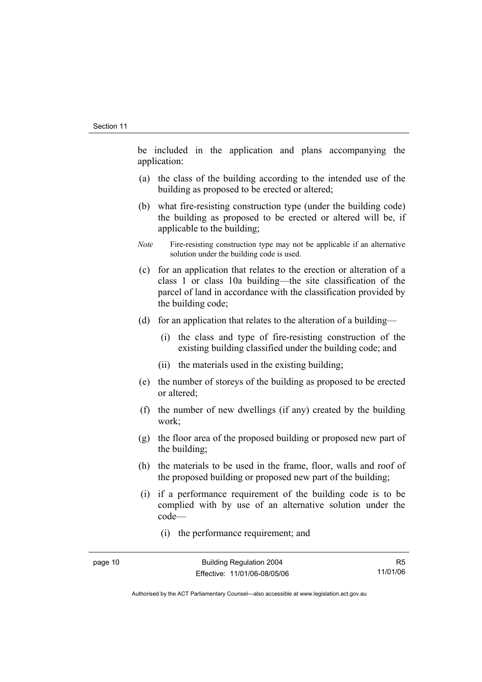be included in the application and plans accompanying the application:

- (a) the class of the building according to the intended use of the building as proposed to be erected or altered;
- (b) what fire-resisting construction type (under the building code) the building as proposed to be erected or altered will be, if applicable to the building;
- *Note* Fire-resisting construction type may not be applicable if an alternative solution under the building code is used.
- (c) for an application that relates to the erection or alteration of a class 1 or class 10a building—the site classification of the parcel of land in accordance with the classification provided by the building code;
- (d) for an application that relates to the alteration of a building—
	- (i) the class and type of fire-resisting construction of the existing building classified under the building code; and
	- (ii) the materials used in the existing building;
- (e) the number of storeys of the building as proposed to be erected or altered;
- (f) the number of new dwellings (if any) created by the building work;
- (g) the floor area of the proposed building or proposed new part of the building;
- (h) the materials to be used in the frame, floor, walls and roof of the proposed building or proposed new part of the building;
- (i) if a performance requirement of the building code is to be complied with by use of an alternative solution under the code—
	- (i) the performance requirement; and

R5 11/01/06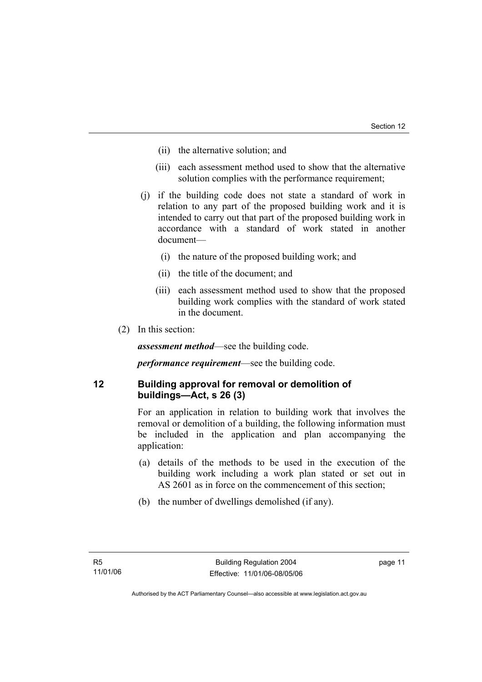- (ii) the alternative solution; and
- (iii) each assessment method used to show that the alternative solution complies with the performance requirement;
- (j) if the building code does not state a standard of work in relation to any part of the proposed building work and it is intended to carry out that part of the proposed building work in accordance with a standard of work stated in another document—
	- (i) the nature of the proposed building work; and
	- (ii) the title of the document; and
	- (iii) each assessment method used to show that the proposed building work complies with the standard of work stated in the document.
- (2) In this section:

*assessment method*—see the building code.

*performance requirement*—see the building code.

## **12 Building approval for removal or demolition of buildings—Act, s 26 (3)**

For an application in relation to building work that involves the removal or demolition of a building, the following information must be included in the application and plan accompanying the application:

- (a) details of the methods to be used in the execution of the building work including a work plan stated or set out in AS 2601 as in force on the commencement of this section;
- (b) the number of dwellings demolished (if any).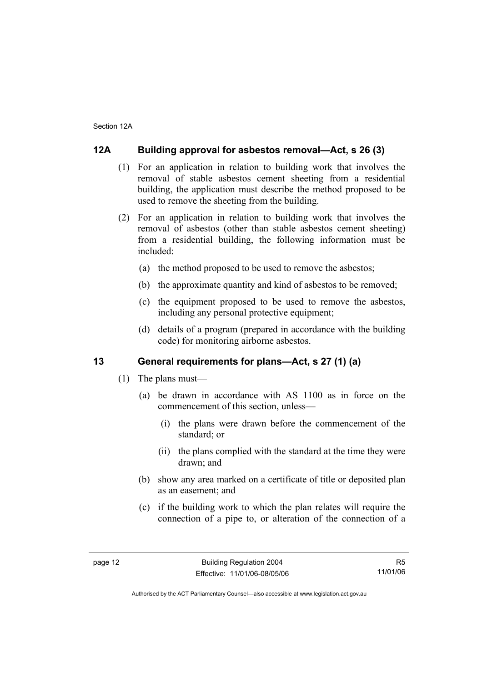## **12A Building approval for asbestos removal—Act, s 26 (3)**

- (1) For an application in relation to building work that involves the removal of stable asbestos cement sheeting from a residential building, the application must describe the method proposed to be used to remove the sheeting from the building.
- (2) For an application in relation to building work that involves the removal of asbestos (other than stable asbestos cement sheeting) from a residential building, the following information must be included:
	- (a) the method proposed to be used to remove the asbestos;
	- (b) the approximate quantity and kind of asbestos to be removed;
	- (c) the equipment proposed to be used to remove the asbestos, including any personal protective equipment;
	- (d) details of a program (prepared in accordance with the building code) for monitoring airborne asbestos.

## **13 General requirements for plans—Act, s 27 (1) (a)**

- (1) The plans must—
	- (a) be drawn in accordance with AS 1100 as in force on the commencement of this section, unless—
		- (i) the plans were drawn before the commencement of the standard; or
		- (ii) the plans complied with the standard at the time they were drawn; and
	- (b) show any area marked on a certificate of title or deposited plan as an easement; and
	- (c) if the building work to which the plan relates will require the connection of a pipe to, or alteration of the connection of a

R5 11/01/06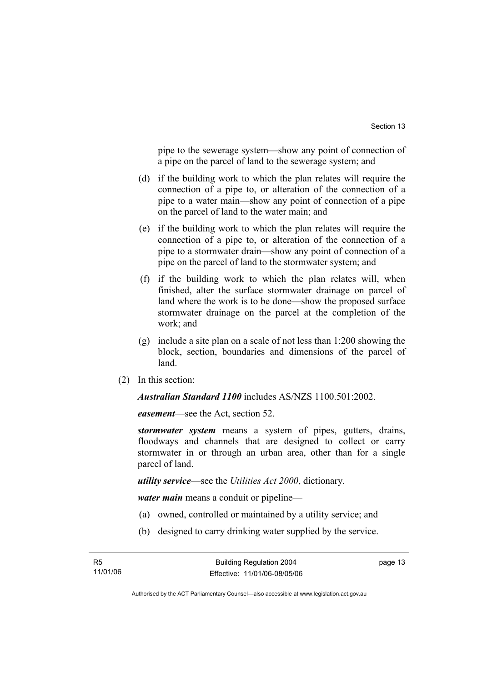pipe to the sewerage system—show any point of connection of a pipe on the parcel of land to the sewerage system; and

- (d) if the building work to which the plan relates will require the connection of a pipe to, or alteration of the connection of a pipe to a water main—show any point of connection of a pipe on the parcel of land to the water main; and
- (e) if the building work to which the plan relates will require the connection of a pipe to, or alteration of the connection of a pipe to a stormwater drain—show any point of connection of a pipe on the parcel of land to the stormwater system; and
- (f) if the building work to which the plan relates will, when finished, alter the surface stormwater drainage on parcel of land where the work is to be done—show the proposed surface stormwater drainage on the parcel at the completion of the work; and
- (g) include a site plan on a scale of not less than 1:200 showing the block, section, boundaries and dimensions of the parcel of land.
- (2) In this section:

*Australian Standard 1100* includes AS/NZS 1100.501:2002.

*easement*—see the Act, section 52.

*stormwater system* means a system of pipes, gutters, drains, floodways and channels that are designed to collect or carry stormwater in or through an urban area, other than for a single parcel of land.

*utility service*—see the *Utilities Act 2000*, dictionary.

*water main* means a conduit or pipeline—

- (a) owned, controlled or maintained by a utility service; and
- (b) designed to carry drinking water supplied by the service.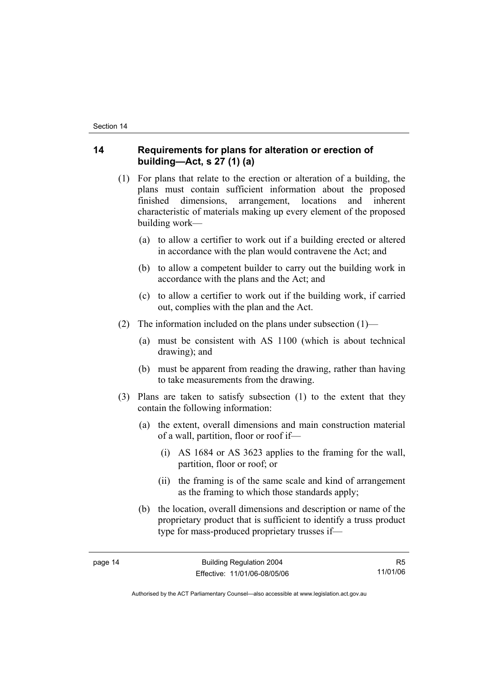## **14 Requirements for plans for alteration or erection of building—Act, s 27 (1) (a)**

- (1) For plans that relate to the erection or alteration of a building, the plans must contain sufficient information about the proposed finished dimensions, arrangement, locations and inherent characteristic of materials making up every element of the proposed building work—
	- (a) to allow a certifier to work out if a building erected or altered in accordance with the plan would contravene the Act; and
	- (b) to allow a competent builder to carry out the building work in accordance with the plans and the Act; and
	- (c) to allow a certifier to work out if the building work, if carried out, complies with the plan and the Act.
- (2) The information included on the plans under subsection  $(1)$ 
	- (a) must be consistent with AS 1100 (which is about technical drawing); and
	- (b) must be apparent from reading the drawing, rather than having to take measurements from the drawing.
- (3) Plans are taken to satisfy subsection (1) to the extent that they contain the following information:
	- (a) the extent, overall dimensions and main construction material of a wall, partition, floor or roof if—
		- (i) AS 1684 or AS 3623 applies to the framing for the wall, partition, floor or roof; or
		- (ii) the framing is of the same scale and kind of arrangement as the framing to which those standards apply;
	- (b) the location, overall dimensions and description or name of the proprietary product that is sufficient to identify a truss product type for mass-produced proprietary trusses if—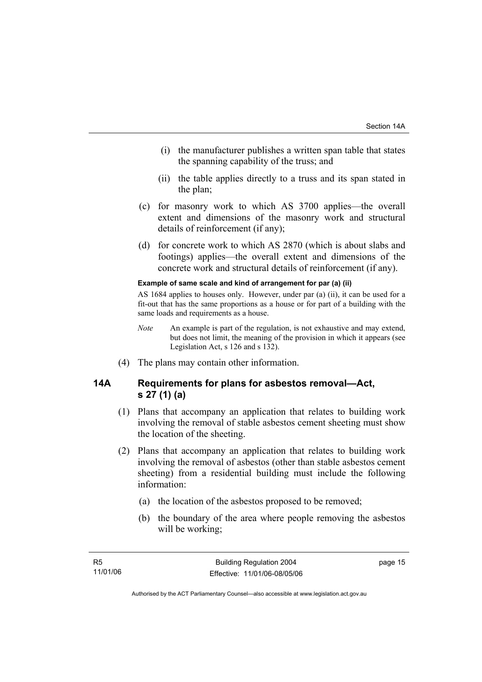- (i) the manufacturer publishes a written span table that states the spanning capability of the truss; and
- (ii) the table applies directly to a truss and its span stated in the plan;
- (c) for masonry work to which AS 3700 applies—the overall extent and dimensions of the masonry work and structural details of reinforcement (if any);
- (d) for concrete work to which AS 2870 (which is about slabs and footings) applies—the overall extent and dimensions of the concrete work and structural details of reinforcement (if any).

#### **Example of same scale and kind of arrangement for par (a) (ii)**

AS 1684 applies to houses only. However, under par (a) (ii), it can be used for a fit-out that has the same proportions as a house or for part of a building with the same loads and requirements as a house.

- *Note* An example is part of the regulation, is not exhaustive and may extend, but does not limit, the meaning of the provision in which it appears (see Legislation Act, s 126 and s 132).
- (4) The plans may contain other information.

## **14A Requirements for plans for asbestos removal—Act, s 27 (1) (a)**

- (1) Plans that accompany an application that relates to building work involving the removal of stable asbestos cement sheeting must show the location of the sheeting.
- (2) Plans that accompany an application that relates to building work involving the removal of asbestos (other than stable asbestos cement sheeting) from a residential building must include the following information:
	- (a) the location of the asbestos proposed to be removed;
	- (b) the boundary of the area where people removing the asbestos will be working;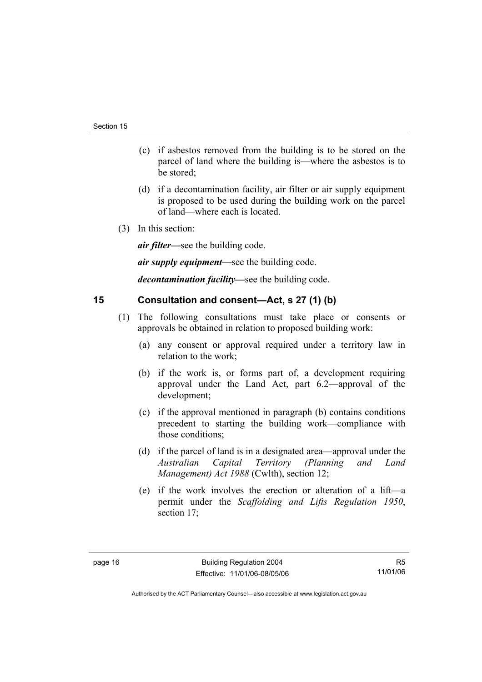- (c) if asbestos removed from the building is to be stored on the parcel of land where the building is—where the asbestos is to be stored;
- (d) if a decontamination facility, air filter or air supply equipment is proposed to be used during the building work on the parcel of land—where each is located.
- (3) In this section:

*air filter—*see the building code.

*air supply equipment—*see the building code.

*decontamination facility—*see the building code.

## **15 Consultation and consent—Act, s 27 (1) (b)**

- (1) The following consultations must take place or consents or approvals be obtained in relation to proposed building work:
	- (a) any consent or approval required under a territory law in relation to the work;
	- (b) if the work is, or forms part of, a development requiring approval under the Land Act, part 6.2—approval of the development;
	- (c) if the approval mentioned in paragraph (b) contains conditions precedent to starting the building work—compliance with those conditions;
	- (d) if the parcel of land is in a designated area—approval under the *Australian Capital Territory (Planning and Land Management) Act 1988* (Cwlth), section 12;
	- (e) if the work involves the erection or alteration of a lift—a permit under the *Scaffolding and Lifts Regulation 1950*, section 17;

R5 11/01/06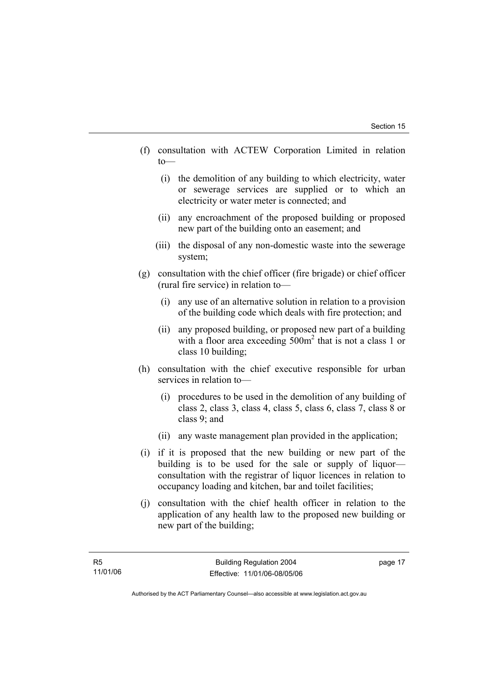- (f) consultation with ACTEW Corporation Limited in relation to—
	- (i) the demolition of any building to which electricity, water or sewerage services are supplied or to which an electricity or water meter is connected; and
	- (ii) any encroachment of the proposed building or proposed new part of the building onto an easement; and
	- (iii) the disposal of any non-domestic waste into the sewerage system;
- (g) consultation with the chief officer (fire brigade) or chief officer (rural fire service) in relation to—
	- (i) any use of an alternative solution in relation to a provision of the building code which deals with fire protection; and
	- (ii) any proposed building, or proposed new part of a building with a floor area exceeding 500m<sup>2</sup> that is not a class 1 or class 10 building;
- (h) consultation with the chief executive responsible for urban services in relation to—
	- (i) procedures to be used in the demolition of any building of class 2, class 3, class 4, class 5, class 6, class 7, class 8 or class 9; and
	- (ii) any waste management plan provided in the application;
- (i) if it is proposed that the new building or new part of the building is to be used for the sale or supply of liquor consultation with the registrar of liquor licences in relation to occupancy loading and kitchen, bar and toilet facilities;
- (j) consultation with the chief health officer in relation to the application of any health law to the proposed new building or new part of the building;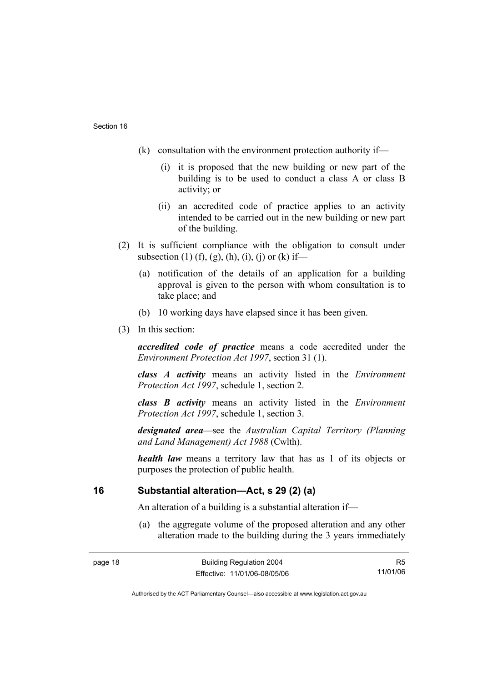- (k) consultation with the environment protection authority if—
	- (i) it is proposed that the new building or new part of the building is to be used to conduct a class A or class B activity; or
	- (ii) an accredited code of practice applies to an activity intended to be carried out in the new building or new part of the building.
- (2) It is sufficient compliance with the obligation to consult under subsection (1) (f), (g), (h), (i), (j) or (k) if—
	- (a) notification of the details of an application for a building approval is given to the person with whom consultation is to take place; and
	- (b) 10 working days have elapsed since it has been given.
- (3) In this section:

*accredited code of practice* means a code accredited under the *Environment Protection Act 1997*, section 31 (1).

*class A activity* means an activity listed in the *Environment Protection Act 1997*, schedule 1, section 2.

*class B activity* means an activity listed in the *Environment Protection Act 1997*, schedule 1, section 3.

*designated area*—see the *Australian Capital Territory (Planning and Land Management) Act 1988* (Cwlth).

*health law* means a territory law that has as 1 of its objects or purposes the protection of public health.

## **16 Substantial alteration—Act, s 29 (2) (a)**

An alteration of a building is a substantial alteration if—

 (a) the aggregate volume of the proposed alteration and any other alteration made to the building during the 3 years immediately

R5 11/01/06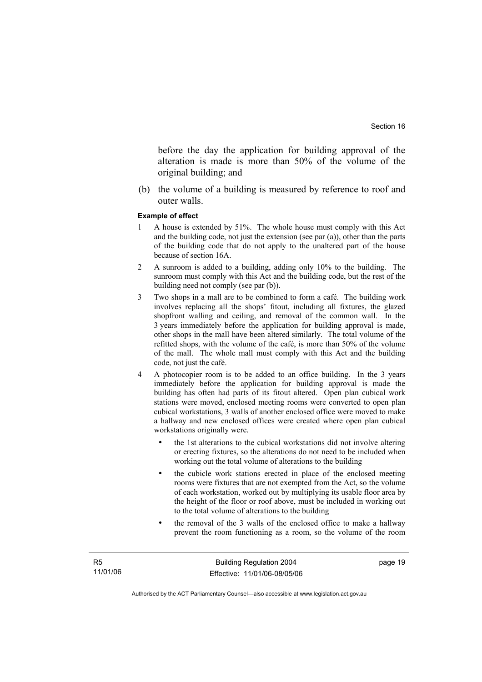before the day the application for building approval of the alteration is made is more than 50% of the volume of the original building; and

 (b) the volume of a building is measured by reference to roof and outer walls.

#### **Example of effect**

- 1 A house is extended by 51%. The whole house must comply with this Act and the building code, not just the extension (see par (a)), other than the parts of the building code that do not apply to the unaltered part of the house because of section 16A.
- 2 A sunroom is added to a building, adding only 10% to the building. The sunroom must comply with this Act and the building code, but the rest of the building need not comply (see par (b)).
- 3 Two shops in a mall are to be combined to form a café. The building work involves replacing all the shops' fitout, including all fixtures, the glazed shopfront walling and ceiling, and removal of the common wall. In the 3 years immediately before the application for building approval is made, other shops in the mall have been altered similarly. The total volume of the refitted shops, with the volume of the café, is more than 50% of the volume of the mall. The whole mall must comply with this Act and the building code, not just the café.
- 4 A photocopier room is to be added to an office building. In the 3 years immediately before the application for building approval is made the building has often had parts of its fitout altered. Open plan cubical work stations were moved, enclosed meeting rooms were converted to open plan cubical workstations, 3 walls of another enclosed office were moved to make a hallway and new enclosed offices were created where open plan cubical workstations originally were.
	- the 1st alterations to the cubical workstations did not involve altering or erecting fixtures, so the alterations do not need to be included when working out the total volume of alterations to the building
	- the cubicle work stations erected in place of the enclosed meeting rooms were fixtures that are not exempted from the Act, so the volume of each workstation, worked out by multiplying its usable floor area by the height of the floor or roof above, must be included in working out to the total volume of alterations to the building
	- the removal of the 3 walls of the enclosed office to make a hallway prevent the room functioning as a room, so the volume of the room

page 19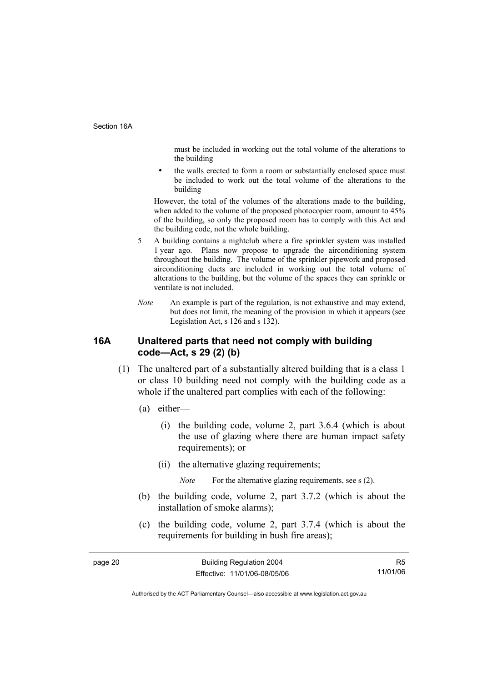must be included in working out the total volume of the alterations to the building

the walls erected to form a room or substantially enclosed space must be included to work out the total volume of the alterations to the building

However, the total of the volumes of the alterations made to the building, when added to the volume of the proposed photocopier room, amount to 45% of the building, so only the proposed room has to comply with this Act and the building code, not the whole building.

- 5 A building contains a nightclub where a fire sprinkler system was installed 1 year ago. Plans now propose to upgrade the airconditioning system throughout the building. The volume of the sprinkler pipework and proposed airconditioning ducts are included in working out the total volume of alterations to the building, but the volume of the spaces they can sprinkle or ventilate is not included.
- *Note* An example is part of the regulation, is not exhaustive and may extend, but does not limit, the meaning of the provision in which it appears (see Legislation Act, s 126 and s 132).

## **16A Unaltered parts that need not comply with building code—Act, s 29 (2) (b)**

- (1) The unaltered part of a substantially altered building that is a class 1 or class 10 building need not comply with the building code as a whole if the unaltered part complies with each of the following:
	- (a) either—
		- (i) the building code, volume 2, part 3.6.4 (which is about the use of glazing where there are human impact safety requirements); or
		- (ii) the alternative glazing requirements;

*Note* For the alternative glazing requirements, see s (2).

- (b) the building code, volume 2, part 3.7.2 (which is about the installation of smoke alarms);
- (c) the building code, volume 2, part 3.7.4 (which is about the requirements for building in bush fire areas);

R5 11/01/06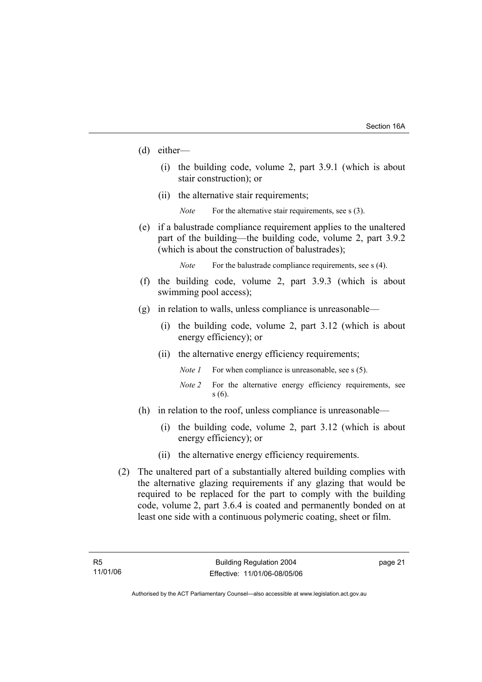- (d) either—
	- (i) the building code, volume 2, part 3.9.1 (which is about stair construction); or
	- (ii) the alternative stair requirements;
		- *Note* For the alternative stair requirements, see s (3).
- (e) if a balustrade compliance requirement applies to the unaltered part of the building—the building code, volume 2, part 3.9.2 (which is about the construction of balustrades);

*Note* For the balustrade compliance requirements, see s (4).

- (f) the building code, volume 2, part 3.9.3 (which is about swimming pool access);
- (g) in relation to walls, unless compliance is unreasonable—
	- (i) the building code, volume 2, part 3.12 (which is about energy efficiency); or
	- (ii) the alternative energy efficiency requirements;
		- *Note 1* For when compliance is unreasonable, see s (5).
		- *Note 2* For the alternative energy efficiency requirements, see s (6).
- (h) in relation to the roof, unless compliance is unreasonable—
	- (i) the building code, volume 2, part 3.12 (which is about energy efficiency); or
	- (ii) the alternative energy efficiency requirements.
- (2) The unaltered part of a substantially altered building complies with the alternative glazing requirements if any glazing that would be required to be replaced for the part to comply with the building code, volume 2, part 3.6.4 is coated and permanently bonded on at least one side with a continuous polymeric coating, sheet or film.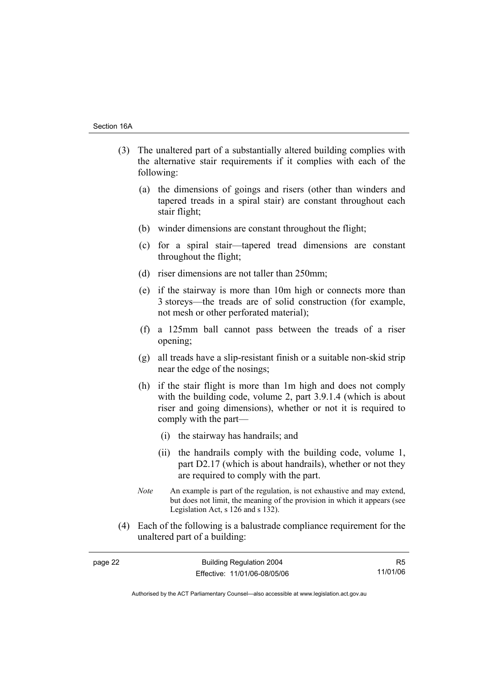- (3) The unaltered part of a substantially altered building complies with the alternative stair requirements if it complies with each of the following:
	- (a) the dimensions of goings and risers (other than winders and tapered treads in a spiral stair) are constant throughout each stair flight;
	- (b) winder dimensions are constant throughout the flight;
	- (c) for a spiral stair—tapered tread dimensions are constant throughout the flight;
	- (d) riser dimensions are not taller than 250mm;
	- (e) if the stairway is more than 10m high or connects more than 3 storeys—the treads are of solid construction (for example, not mesh or other perforated material);
	- (f) a 125mm ball cannot pass between the treads of a riser opening;
	- (g) all treads have a slip-resistant finish or a suitable non-skid strip near the edge of the nosings;
	- (h) if the stair flight is more than 1m high and does not comply with the building code, volume 2, part 3.9.1.4 (which is about riser and going dimensions), whether or not it is required to comply with the part—
		- (i) the stairway has handrails; and
		- (ii) the handrails comply with the building code, volume 1, part D2.17 (which is about handrails), whether or not they are required to comply with the part.
	- *Note* An example is part of the regulation, is not exhaustive and may extend, but does not limit, the meaning of the provision in which it appears (see Legislation Act, s 126 and s 132).
- (4) Each of the following is a balustrade compliance requirement for the unaltered part of a building:

| page 22 | <b>Building Regulation 2004</b> | R <sub>5</sub> |
|---------|---------------------------------|----------------|
|         | Effective: 11/01/06-08/05/06    | 11/01/06       |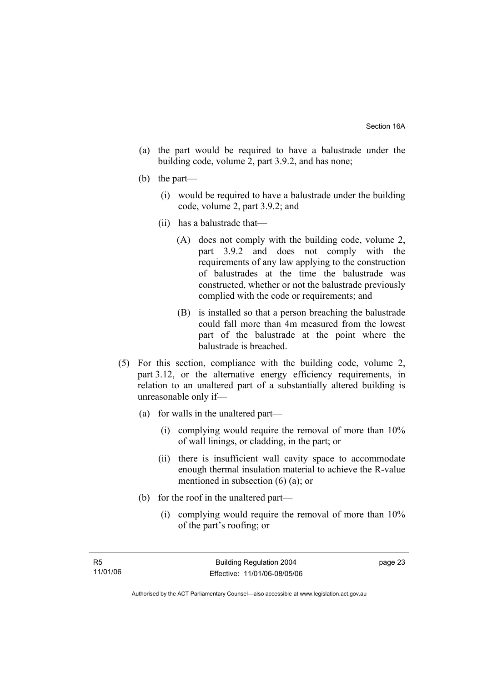- (a) the part would be required to have a balustrade under the building code, volume 2, part 3.9.2, and has none;
- (b) the part—
	- (i) would be required to have a balustrade under the building code, volume 2, part 3.9.2; and
	- (ii) has a balustrade that—
		- (A) does not comply with the building code, volume 2, part 3.9.2 and does not comply with the requirements of any law applying to the construction of balustrades at the time the balustrade was constructed, whether or not the balustrade previously complied with the code or requirements; and
		- (B) is installed so that a person breaching the balustrade could fall more than 4m measured from the lowest part of the balustrade at the point where the balustrade is breached.
- (5) For this section, compliance with the building code, volume 2, part 3.12, or the alternative energy efficiency requirements, in relation to an unaltered part of a substantially altered building is unreasonable only if—
	- (a) for walls in the unaltered part—
		- (i) complying would require the removal of more than 10% of wall linings, or cladding, in the part; or
		- (ii) there is insufficient wall cavity space to accommodate enough thermal insulation material to achieve the R-value mentioned in subsection (6) (a); or
	- (b) for the roof in the unaltered part—
		- (i) complying would require the removal of more than 10% of the part's roofing; or

Authorised by the ACT Parliamentary Counsel—also accessible at www.legislation.act.gov.au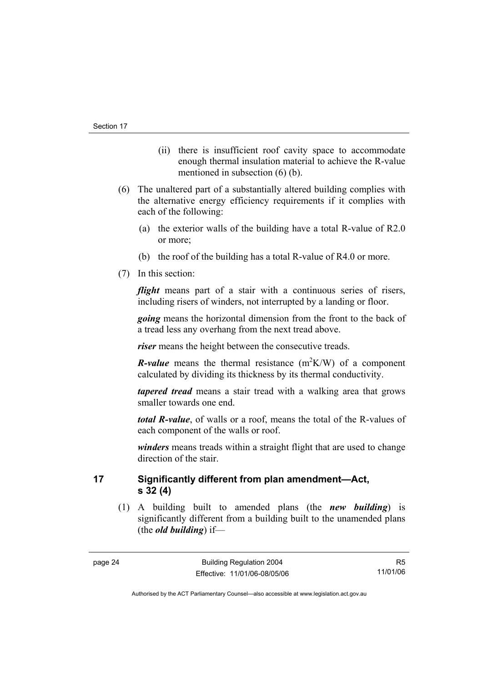- (ii) there is insufficient roof cavity space to accommodate enough thermal insulation material to achieve the R-value mentioned in subsection (6) (b).
- (6) The unaltered part of a substantially altered building complies with the alternative energy efficiency requirements if it complies with each of the following:
	- (a) the exterior walls of the building have a total R-value of R2.0 or more;
	- (b) the roof of the building has a total R-value of R4.0 or more.
- (7) In this section:

*flight* means part of a stair with a continuous series of risers, including risers of winders, not interrupted by a landing or floor.

*going* means the horizontal dimension from the front to the back of a tread less any overhang from the next tread above.

*riser* means the height between the consecutive treads.

*R*-value means the thermal resistance  $(m^2K/W)$  of a component calculated by dividing its thickness by its thermal conductivity.

*tapered tread* means a stair tread with a walking area that grows smaller towards one end.

*total R-value*, of walls or a roof, means the total of the R-values of each component of the walls or roof.

*winders* means treads within a straight flight that are used to change direction of the stair.

**17 Significantly different from plan amendment—Act, s 32 (4)** 

 (1) A building built to amended plans (the *new building*) is significantly different from a building built to the unamended plans (the *old building*) if—

R5 11/01/06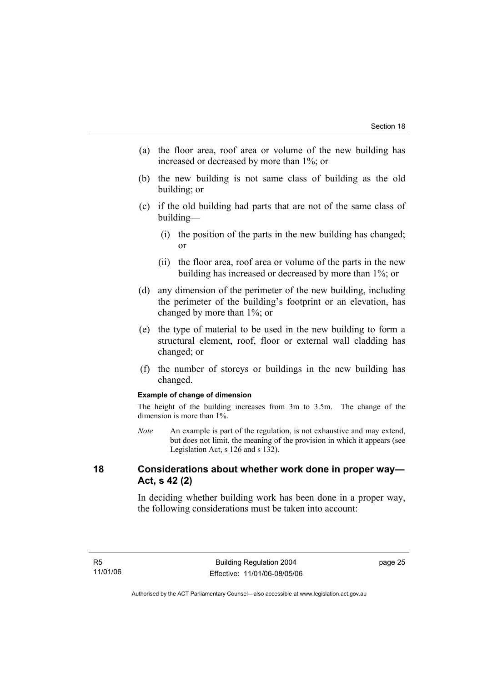- (a) the floor area, roof area or volume of the new building has increased or decreased by more than 1%; or
- (b) the new building is not same class of building as the old building; or
- (c) if the old building had parts that are not of the same class of building—
	- (i) the position of the parts in the new building has changed; or
	- (ii) the floor area, roof area or volume of the parts in the new building has increased or decreased by more than 1%; or
- (d) any dimension of the perimeter of the new building, including the perimeter of the building's footprint or an elevation, has changed by more than 1%; or
- (e) the type of material to be used in the new building to form a structural element, roof, floor or external wall cladding has changed; or
- (f) the number of storeys or buildings in the new building has changed.

#### **Example of change of dimension**

The height of the building increases from 3m to 3.5m. The change of the dimension is more than 1%.

*Note* An example is part of the regulation, is not exhaustive and may extend, but does not limit, the meaning of the provision in which it appears (see Legislation Act, s 126 and s 132).

## **18 Considerations about whether work done in proper way— Act, s 42 (2)**

In deciding whether building work has been done in a proper way, the following considerations must be taken into account: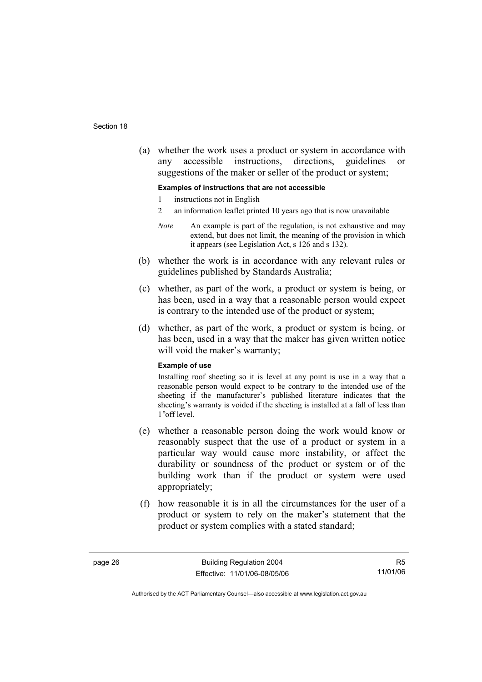(a) whether the work uses a product or system in accordance with any accessible instructions, directions, guidelines or suggestions of the maker or seller of the product or system;

#### **Examples of instructions that are not accessible**

- 1 instructions not in English
- 2 an information leaflet printed 10 years ago that is now unavailable
- *Note* An example is part of the regulation, is not exhaustive and may extend, but does not limit, the meaning of the provision in which it appears (see Legislation Act, s 126 and s 132).
- (b) whether the work is in accordance with any relevant rules or guidelines published by Standards Australia;
- (c) whether, as part of the work, a product or system is being, or has been, used in a way that a reasonable person would expect is contrary to the intended use of the product or system;
- (d) whether, as part of the work, a product or system is being, or has been, used in a way that the maker has given written notice will void the maker's warranty;

#### **Example of use**

Installing roof sheeting so it is level at any point is use in a way that a reasonable person would expect to be contrary to the intended use of the sheeting if the manufacturer's published literature indicates that the sheeting's warranty is voided if the sheeting is installed at a fall of less than 1°off level.

- (e) whether a reasonable person doing the work would know or reasonably suspect that the use of a product or system in a particular way would cause more instability, or affect the durability or soundness of the product or system or of the building work than if the product or system were used appropriately;
- (f) how reasonable it is in all the circumstances for the user of a product or system to rely on the maker's statement that the product or system complies with a stated standard;

R5 11/01/06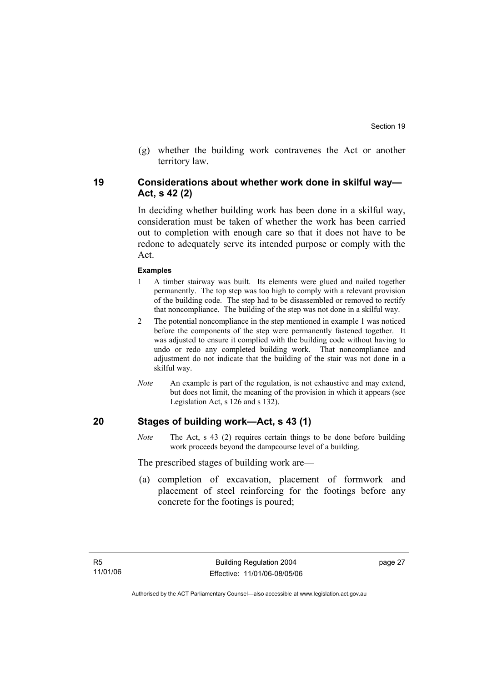(g) whether the building work contravenes the Act or another territory law.

## **19 Considerations about whether work done in skilful way— Act, s 42 (2)**

In deciding whether building work has been done in a skilful way, consideration must be taken of whether the work has been carried out to completion with enough care so that it does not have to be redone to adequately serve its intended purpose or comply with the Act.

#### **Examples**

- 1 A timber stairway was built. Its elements were glued and nailed together permanently. The top step was too high to comply with a relevant provision of the building code. The step had to be disassembled or removed to rectify that noncompliance. The building of the step was not done in a skilful way.
- 2 The potential noncompliance in the step mentioned in example 1 was noticed before the components of the step were permanently fastened together. It was adjusted to ensure it complied with the building code without having to undo or redo any completed building work. That noncompliance and adjustment do not indicate that the building of the stair was not done in a skilful way.
- *Note* An example is part of the regulation, is not exhaustive and may extend, but does not limit, the meaning of the provision in which it appears (see Legislation Act, s 126 and s 132).

## **20 Stages of building work—Act, s 43 (1)**

*Note* The Act, s 43 (2) requires certain things to be done before building work proceeds beyond the dampcourse level of a building.

The prescribed stages of building work are—

 (a) completion of excavation, placement of formwork and placement of steel reinforcing for the footings before any concrete for the footings is poured;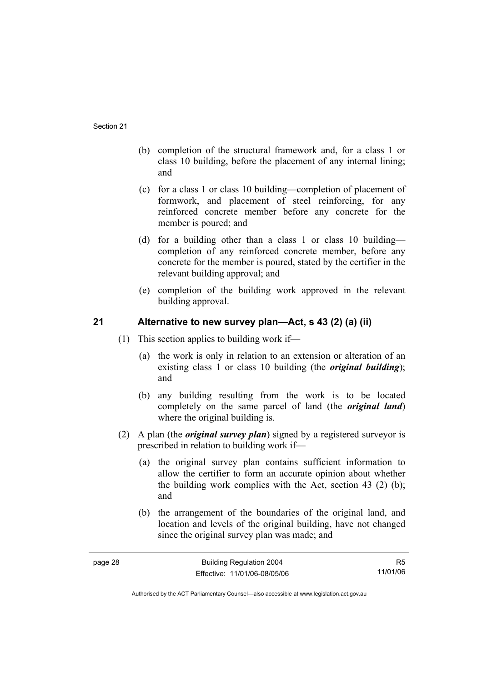- (b) completion of the structural framework and, for a class 1 or class 10 building, before the placement of any internal lining; and
- (c) for a class 1 or class 10 building—completion of placement of formwork, and placement of steel reinforcing, for any reinforced concrete member before any concrete for the member is poured; and
- (d) for a building other than a class 1 or class 10 building completion of any reinforced concrete member, before any concrete for the member is poured, stated by the certifier in the relevant building approval; and
- (e) completion of the building work approved in the relevant building approval.

## **21 Alternative to new survey plan—Act, s 43 (2) (a) (ii)**

- (1) This section applies to building work if—
	- (a) the work is only in relation to an extension or alteration of an existing class 1 or class 10 building (the *original building*); and
	- (b) any building resulting from the work is to be located completely on the same parcel of land (the *original land*) where the original building is.
- (2) A plan (the *original survey plan*) signed by a registered surveyor is prescribed in relation to building work if—
	- (a) the original survey plan contains sufficient information to allow the certifier to form an accurate opinion about whether the building work complies with the Act, section 43 (2) (b); and
	- (b) the arrangement of the boundaries of the original land, and location and levels of the original building, have not changed since the original survey plan was made; and

R5 11/01/06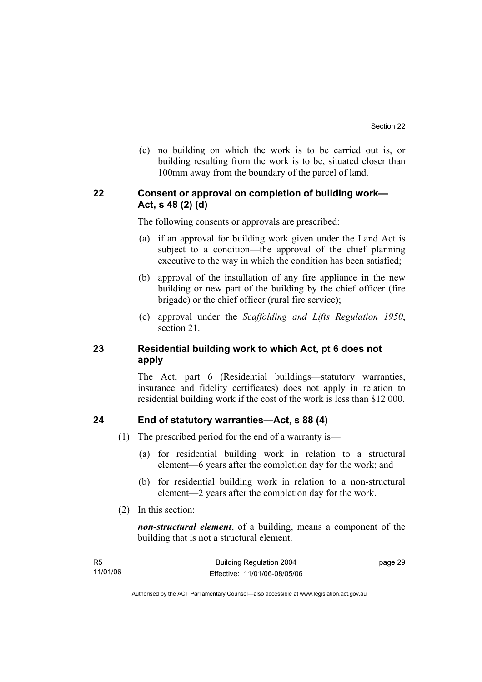(c) no building on which the work is to be carried out is, or building resulting from the work is to be, situated closer than 100mm away from the boundary of the parcel of land.

## **22 Consent or approval on completion of building work— Act, s 48 (2) (d)**

The following consents or approvals are prescribed:

- (a) if an approval for building work given under the Land Act is subject to a condition—the approval of the chief planning executive to the way in which the condition has been satisfied;
- (b) approval of the installation of any fire appliance in the new building or new part of the building by the chief officer (fire brigade) or the chief officer (rural fire service);
- (c) approval under the *Scaffolding and Lifts Regulation 1950*, section 21.

## **23 Residential building work to which Act, pt 6 does not apply**

The Act, part 6 (Residential buildings—statutory warranties, insurance and fidelity certificates) does not apply in relation to residential building work if the cost of the work is less than \$12 000.

## **24 End of statutory warranties—Act, s 88 (4)**

- (1) The prescribed period for the end of a warranty is—
	- (a) for residential building work in relation to a structural element—6 years after the completion day for the work; and
	- (b) for residential building work in relation to a non-structural element—2 years after the completion day for the work.
- (2) In this section:

*non-structural element*, of a building, means a component of the building that is not a structural element.

| - R5     | <b>Building Regulation 2004</b> | page 29 |
|----------|---------------------------------|---------|
| 11/01/06 | Effective: 11/01/06-08/05/06    |         |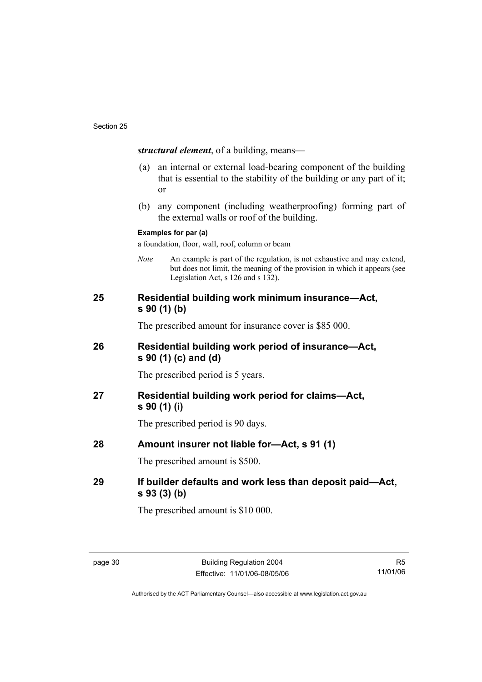*structural element*, of a building, means—

- (a) an internal or external load-bearing component of the building that is essential to the stability of the building or any part of it; or
- (b) any component (including weatherproofing) forming part of the external walls or roof of the building.

#### **Examples for par (a)**

a foundation, floor, wall, roof, column or beam

*Note* An example is part of the regulation, is not exhaustive and may extend, but does not limit, the meaning of the provision in which it appears (see Legislation Act, s 126 and s 132).

## **25 Residential building work minimum insurance—Act, s 90 (1) (b)**

The prescribed amount for insurance cover is \$85 000.

## **26 Residential building work period of insurance—Act, s 90 (1) (c) and (d)**

The prescribed period is 5 years.

## **27 Residential building work period for claims—Act, s 90 (1) (i)**

The prescribed period is 90 days.

## **28 Amount insurer not liable for—Act, s 91 (1)**

The prescribed amount is \$500.

## **29 If builder defaults and work less than deposit paid—Act, s 93 (3) (b)**

The prescribed amount is \$10 000.

R5 11/01/06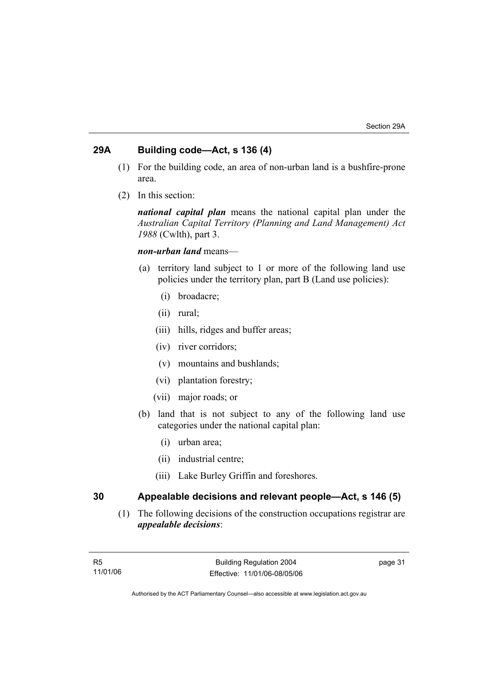## **29A Building code—Act, s 136 (4)**

- (1) For the building code, an area of non-urban land is a bushfire-prone area.
- (2) In this section:

*national capital plan* means the national capital plan under the *Australian Capital Territory (Planning and Land Management) Act 1988* (Cwlth), part 3.

### *non-urban land* means—

- (a) territory land subject to 1 or more of the following land use policies under the territory plan, part B (Land use policies):
	- (i) broadacre;
	- (ii) rural;
	- (iii) hills, ridges and buffer areas;
	- (iv) river corridors;
	- (v) mountains and bushlands;
	- (vi) plantation forestry;
	- (vii) major roads; or
- (b) land that is not subject to any of the following land use categories under the national capital plan:
	- (i) urban area;
	- (ii) industrial centre;
	- (iii) Lake Burley Griffin and foreshores.

## **30 Appealable decisions and relevant people—Act, s 146 (5)**

 (1) The following decisions of the construction occupations registrar are *appealable decisions*: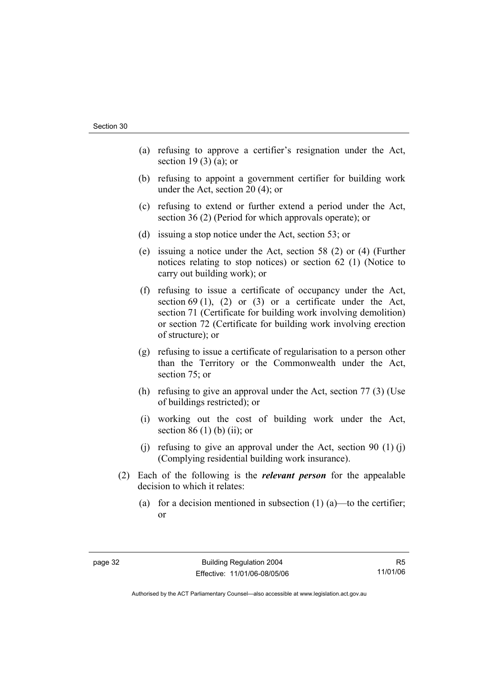- (a) refusing to approve a certifier's resignation under the Act, section 19 $(3)$  $(a)$ ; or
- (b) refusing to appoint a government certifier for building work under the Act, section 20 (4); or
- (c) refusing to extend or further extend a period under the Act, section 36 (2) (Period for which approvals operate); or
- (d) issuing a stop notice under the Act, section 53; or
- (e) issuing a notice under the Act, section 58 (2) or (4) (Further notices relating to stop notices) or section 62 (1) (Notice to carry out building work); or
- (f) refusing to issue a certificate of occupancy under the Act, section 69 (1), (2) or (3) or a certificate under the Act, section 71 (Certificate for building work involving demolition) or section 72 (Certificate for building work involving erection of structure); or
- (g) refusing to issue a certificate of regularisation to a person other than the Territory or the Commonwealth under the Act, section 75; or
- (h) refusing to give an approval under the Act, section 77 (3) (Use of buildings restricted); or
- (i) working out the cost of building work under the Act, section 86 $(1)$  $(b)$  $(ii)$ ; or
- (i) refusing to give an approval under the Act, section 90  $(1)$  (i) (Complying residential building work insurance).
- (2) Each of the following is the *relevant person* for the appealable decision to which it relates:
	- (a) for a decision mentioned in subsection  $(1)$  (a)—to the certifier; or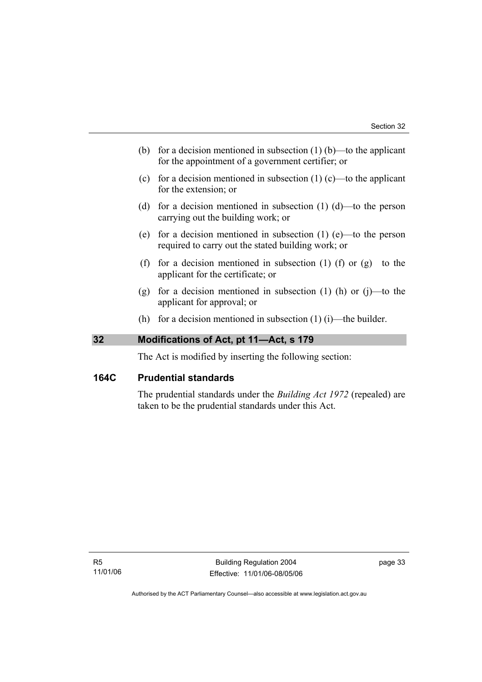- (b) for a decision mentioned in subsection  $(1)$  (b)—to the applicant for the appointment of a government certifier; or
- (c) for a decision mentioned in subsection  $(1)$  (c)—to the applicant for the extension; or
- (d) for a decision mentioned in subsection  $(1)$   $(d)$ —to the person carrying out the building work; or
- (e) for a decision mentioned in subsection (1) (e)—to the person required to carry out the stated building work; or
- (f) for a decision mentioned in subsection (1) (f) or  $(g)$ —to the applicant for the certificate; or
- (g) for a decision mentioned in subsection  $(1)$  (h) or  $(i)$ —to the applicant for approval; or
- (h) for a decision mentioned in subsection  $(1)$  (i)—the builder.

## **32 Modifications of Act, pt 11—Act, s 179**

The Act is modified by inserting the following section:

## **164C Prudential standards**

The prudential standards under the *Building Act 1972* (repealed) are taken to be the prudential standards under this Act.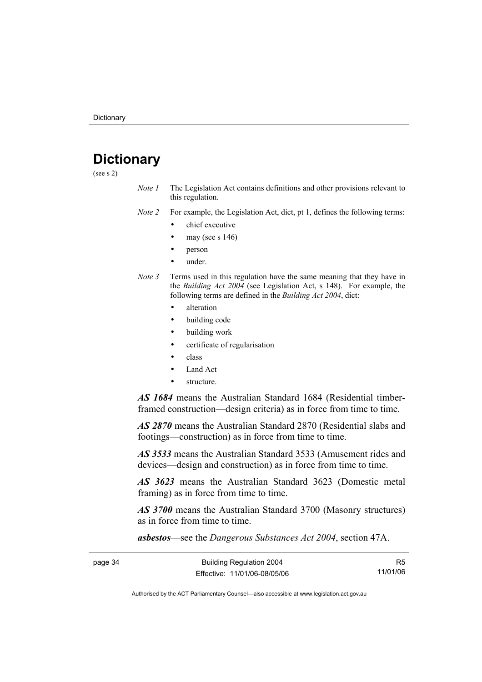## **Dictionary**

(see s 2)

*Note 1* The Legislation Act contains definitions and other provisions relevant to this regulation.

*Note 2* For example, the Legislation Act, dict, pt 1, defines the following terms:

- chief executive
- may (see s  $146$ )
- person
- under.
- *Note 3* Terms used in this regulation have the same meaning that they have in the *Building Act 2004* (see Legislation Act, s 148). For example, the following terms are defined in the *Building Act 2004*, dict:
	- alteration
	- building code
	- building work
	- certificate of regularisation
	- class
	- Land Act
	- structure.

*AS 1684* means the Australian Standard 1684 (Residential timberframed construction—design criteria) as in force from time to time.

*AS 2870* means the Australian Standard 2870 (Residential slabs and footings—construction) as in force from time to time.

*AS 3533* means the Australian Standard 3533 (Amusement rides and devices—design and construction) as in force from time to time.

*AS 3623* means the Australian Standard 3623 (Domestic metal framing) as in force from time to time.

*AS 3700* means the Australian Standard 3700 (Masonry structures) as in force from time to time.

*asbestos*—see the *Dangerous Substances Act 2004*, section 47A.

| page 34 | <b>Building Regulation 2004</b> |          |
|---------|---------------------------------|----------|
|         | Effective: 11/01/06-08/05/06    | 11/01/06 |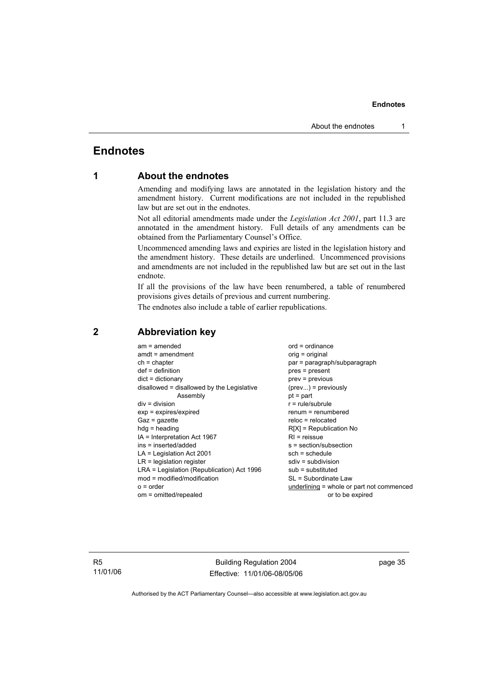## **Endnotes**

## **1 About the endnotes**

Amending and modifying laws are annotated in the legislation history and the amendment history. Current modifications are not included in the republished law but are set out in the endnotes.

Not all editorial amendments made under the *Legislation Act 2001*, part 11.3 are annotated in the amendment history. Full details of any amendments can be obtained from the Parliamentary Counsel's Office.

Uncommenced amending laws and expiries are listed in the legislation history and the amendment history. These details are underlined. Uncommenced provisions and amendments are not included in the republished law but are set out in the last endnote.

If all the provisions of the law have been renumbered, a table of renumbered provisions gives details of previous and current numbering.

The endnotes also include a table of earlier republications.

| $am = amended$<br>$amdt = amendment$<br>$ch = chapter$<br>$def = definition$<br>$dict = dictionary$<br>disallowed = disallowed by the Legislative<br>Assembly<br>$div = division$<br>$exp = expires/expired$<br>$Gaz = gazette$<br>$hdg =$ heading<br>$IA = Interpretation Act 1967$<br>$ins = inserted/added$<br>$LA =$ Legislation Act 2001<br>$LR =$ legislation register<br>LRA = Legislation (Republication) Act 1996<br>$mod = modified/modification$ | $ord = ordinance$<br>orig = original<br>par = paragraph/subparagraph<br>$pres = present$<br>$prev = previous$<br>$(\text{prev}) = \text{previously}$<br>$pt = part$<br>$r = rule/subrule$<br>$renum = renumbered$<br>$reloc = relocated$<br>$R[X]$ = Republication No<br>$RI =$ reissue<br>$s = section/subsection$<br>$sch = schedule$<br>$sdiv = subdivision$<br>$sub =$ substituted<br>SL = Subordinate Law |
|-------------------------------------------------------------------------------------------------------------------------------------------------------------------------------------------------------------------------------------------------------------------------------------------------------------------------------------------------------------------------------------------------------------------------------------------------------------|----------------------------------------------------------------------------------------------------------------------------------------------------------------------------------------------------------------------------------------------------------------------------------------------------------------------------------------------------------------------------------------------------------------|
| $o = order$                                                                                                                                                                                                                                                                                                                                                                                                                                                 | underlining = whole or part not commenced                                                                                                                                                                                                                                                                                                                                                                      |
| om = omitted/repealed                                                                                                                                                                                                                                                                                                                                                                                                                                       | or to be expired                                                                                                                                                                                                                                                                                                                                                                                               |

## **2 Abbreviation key**

R5 11/01/06

Building Regulation 2004 Effective: 11/01/06-08/05/06 page 35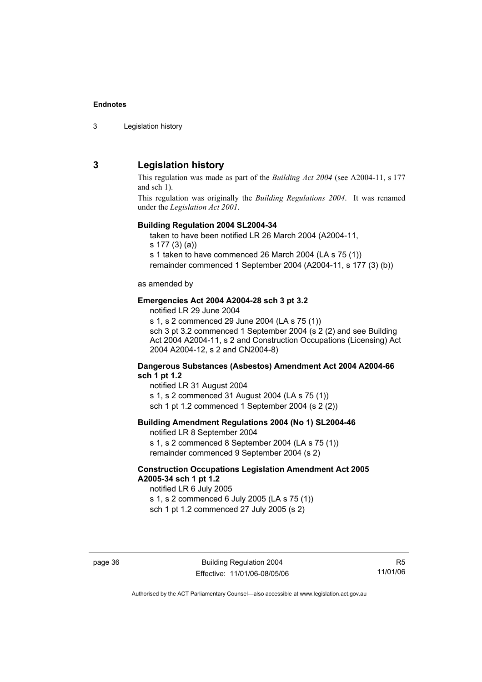3 Legislation history

## **3 Legislation history**

This regulation was made as part of the *Building Act 2004* (see A2004-11, s 177 and sch 1).

This regulation was originally the *Building Regulations 2004*. It was renamed under the *Legislation Act 2001*.

#### **Building Regulation 2004 SL2004-34**

taken to have been notified LR 26 March 2004 (A2004-11,

s 177 (3) (a))

s 1 taken to have commenced 26 March 2004 (LA s 75 (1))

remainder commenced 1 September 2004 (A2004-11, s 177 (3) (b))

#### as amended by

### **Emergencies Act 2004 A2004-28 sch 3 pt 3.2**

notified LR 29 June 2004

s 1, s 2 commenced 29 June 2004 (LA s 75 (1)) sch 3 pt 3.2 commenced 1 September 2004 (s 2 (2) and see Building Act 2004 A2004-11, s 2 and Construction Occupations (Licensing) Act 2004 A2004-12, s 2 and CN2004-8)

#### **Dangerous Substances (Asbestos) Amendment Act 2004 A2004-66 sch 1 pt 1.2**

notified LR 31 August 2004 s 1, s 2 commenced 31 August 2004 (LA s 75 (1)) sch 1 pt 1.2 commenced 1 September 2004 (s 2 (2))

#### **Building Amendment Regulations 2004 (No 1) SL2004-46**

notified LR 8 September 2004 s 1, s 2 commenced 8 September 2004 (LA s 75 (1)) remainder commenced 9 September 2004 (s 2)

#### **Construction Occupations Legislation Amendment Act 2005 A2005-34 sch 1 pt 1.2**

notified LR 6 July 2005 s 1, s 2 commenced 6 July 2005 (LA s 75 (1)) sch 1 pt 1.2 commenced 27 July 2005 (s 2)

R5 11/01/06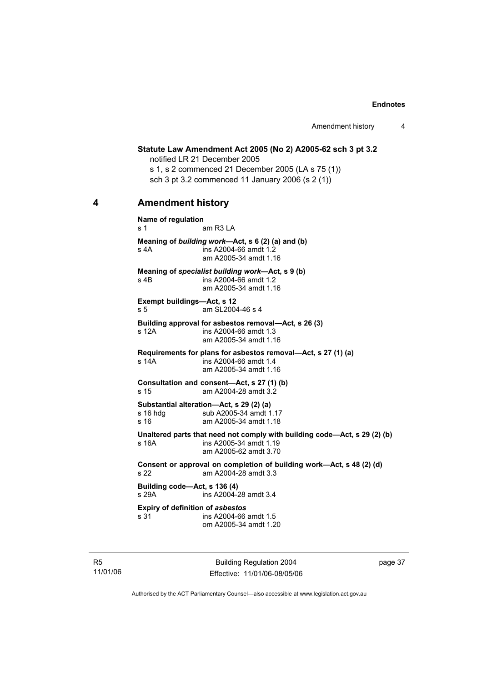**Statute Law Amendment Act 2005 (No 2) A2005-62 sch 3 pt 3.2**  notified LR 21 December 2005 s 1, s 2 commenced 21 December 2005 (LA s 75 (1)) sch 3 pt 3.2 commenced 11 January 2006 (s 2 (1)) **4 Amendment history Name of regulation**  s 1 am R3 LA **Meaning of** *building work***—Act, s 6 (2) (a) and (b)**  s 4A ins A2004-66 amdt 1.2 am A2005-34 amdt 1.16 **Meaning of** *specialist building work***—Act, s 9 (b)**  s 4B ins A2004-66 amdt 1.2 am A2005-34 amdt 1.16 **Exempt buildings—Act, s 12**  s 5 am SL2004-46 s 4 **Building approval for asbestos removal—Act, s 26 (3)**  s 12A ins A2004-66 amdt 1.3 am A2005-34 amdt 1.16 **Requirements for plans for asbestos removal—Act, s 27 (1) (a)**  s 14A ins A2004-66 amdt 1.4 am A2005-34 amdt 1.16 **Consultation and consent—Act, s 27 (1) (b)**  s 15 am A2004-28 amdt 3.2 **Substantial alteration—Act, s 29 (2) (a)**  s 16 hdg sub A2005-34 amdt 1.17<br>s 16 straam A2005-34 amdt 1.18 am A2005-34 amdt 1.18 **Unaltered parts that need not comply with building code—Act, s 29 (2) (b)**  s 16A ins A2005-34 amdt 1.19 am A2005-62 amdt 3.70 **Consent or approval on completion of building work—Act, s 48 (2) (d)**  s 22 am A2004-28 amdt 3.3 **Building code—Act, s 136 (4)**  s 29A ins A2004-28 amdt 3.4 **Expiry of definition of** *asbestos* s 31 ins A2004-66 amdt 1.5 om A2005-34 amdt 1.20

R5 11/01/06

Building Regulation 2004 Effective: 11/01/06-08/05/06 page 37